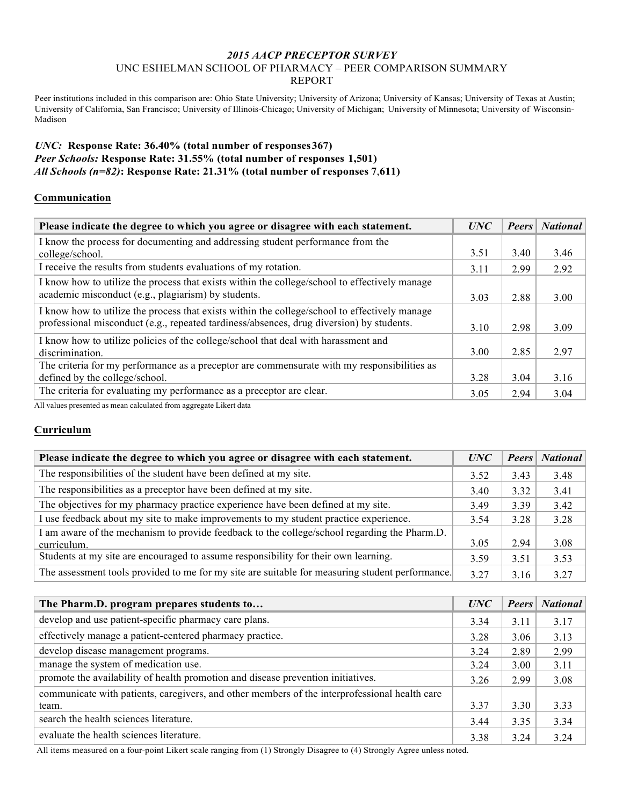## *2015 AACP PRECEPTOR SURVEY* UNC ESHELMAN SCHOOL OF PHARMACY – PEER COMPARISON SUMMARY REPORT

Peer institutions included in this comparison are: Ohio State University; University of Arizona; University of Kansas; University of Texas at Austin; University of California, San Francisco; University of Illinois-Chicago; University of Michigan; University of Minnesota; University of Wisconsin-Madison

## *UNC:* **Response Rate: 36.40% (total number of responses367)** *Peer Schools:* **Response Rate: 31.55% (total number of responses 1,501)** *All Schools (n=82)***: Response Rate: 21.31% (total number of responses 7**,**611)**

## **Communication**

| Please indicate the degree to which you agree or disagree with each statement.                |      | <b>Peers</b> | <b>National</b> |
|-----------------------------------------------------------------------------------------------|------|--------------|-----------------|
| I know the process for documenting and addressing student performance from the                |      |              |                 |
| college/school.                                                                               | 3.51 | 3.40         | 3.46            |
| I receive the results from students evaluations of my rotation.                               | 3.11 | 2.99         | 2.92            |
| I know how to utilize the process that exists within the college/school to effectively manage |      |              |                 |
| academic misconduct (e.g., plagiarism) by students.                                           | 3.03 | 2.88         | 3.00            |
| I know how to utilize the process that exists within the college/school to effectively manage |      |              |                 |
| professional misconduct (e.g., repeated tardiness/absences, drug diversion) by students.      | 3.10 | 2.98         | 3.09            |
| I know how to utilize policies of the college/school that deal with harassment and            |      |              |                 |
| discrimination.                                                                               | 3.00 | 2.85         | 2.97            |
| The criteria for my performance as a preceptor are commensurate with my responsibilities as   |      |              |                 |
| defined by the college/school.                                                                | 3.28 | 3.04         | 3.16            |
| The criteria for evaluating my performance as a preceptor are clear.                          | 3.05 | 2.94         | 3.04            |

All values presented as mean calculated from aggregate Likert data

#### **Curriculum**

| Please indicate the degree to which you agree or disagree with each statement.                              |      | <b>Peers</b> | <b>National</b> |
|-------------------------------------------------------------------------------------------------------------|------|--------------|-----------------|
| The responsibilities of the student have been defined at my site.                                           | 3.52 | 3.43         | 3.48            |
| The responsibilities as a preceptor have been defined at my site.                                           |      | 3.32         | 3.41            |
| The objectives for my pharmacy practice experience have been defined at my site.                            |      | 3.39         | 3.42            |
| I use feedback about my site to make improvements to my student practice experience.                        |      | 3.28         | 3.28            |
| I am aware of the mechanism to provide feedback to the college/school regarding the Pharm.D.<br>curriculum. |      | 2.94         | 3.08            |
| Students at my site are encouraged to assume responsibility for their own learning.                         | 3.59 | 3.51         | 3.53            |
| The assessment tools provided to me for my site are suitable for measuring student performance.             | 3.27 | 3.16         | 3.27            |

| The Pharm.D. program prepares students to                                                     | <b>UNC</b> | <b>Peers</b> | <b>National</b> |
|-----------------------------------------------------------------------------------------------|------------|--------------|-----------------|
| develop and use patient-specific pharmacy care plans.                                         | 3.34       | 3.11         | 3.17            |
| effectively manage a patient-centered pharmacy practice.                                      | 3.28       | 3.06         | 3.13            |
| develop disease management programs.                                                          | 3.24       | 2.89         | 2.99            |
| manage the system of medication use.                                                          | 3.24       | 3.00         | 3.11            |
| promote the availability of health promotion and disease prevention initiatives.              | 3.26       | 2.99         | 3.08            |
| communicate with patients, caregivers, and other members of the interprofessional health care |            |              |                 |
| team.                                                                                         | 3.37       | 3.30         | 3.33            |
| search the health sciences literature.                                                        | 3.44       | 3.35         | 3.34            |
| evaluate the health sciences literature.                                                      | 3.38       | 3.24         | 3.24            |

All items measured on a four-point Likert scale ranging from (1) Strongly Disagree to (4) Strongly Agree unless noted.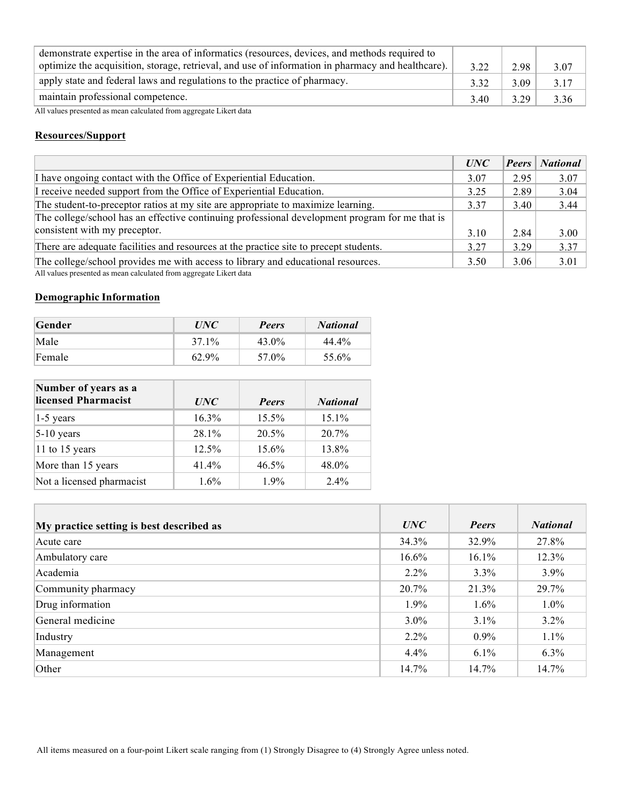| demonstrate expertise in the area of informatics (resources, devices, and methods required to<br>optimize the acquisition, storage, retrieval, and use of information in pharmacy and healthcare). | 3.22 | 2.98 | 3.07 |
|----------------------------------------------------------------------------------------------------------------------------------------------------------------------------------------------------|------|------|------|
| apply state and federal laws and regulations to the practice of pharmacy.                                                                                                                          | 332  | 3.09 | 3.17 |
| maintain professional competence.                                                                                                                                                                  | 3.40 | 3.29 | 3.36 |

All values presented as mean calculated from aggregate Likert data

## **Resources/Support**

|                                                                                                  | <i>UNC</i> | Peers | <b>National</b> |
|--------------------------------------------------------------------------------------------------|------------|-------|-----------------|
| I have ongoing contact with the Office of Experiential Education.                                | 3.07       | 295   | 3.07            |
| I receive needed support from the Office of Experiential Education.                              | 3.25       | 2.89  | 3.04            |
| The student-to-preceptor ratios at my site are appropriate to maximize learning.                 | 3.37       | 3.40  | 3.44            |
| The college/school has an effective continuing professional development program for me that is   |            |       |                 |
| consistent with my preceptor.                                                                    | 3.10       | 2.84  | 3.00            |
| There are adequate facilities and resources at the practice site to precept students.            | 3.27       | 3 2 9 | 3.37            |
| The college/school provides me with access to library and educational resources.<br>$1.11 \t1.1$ | 3.50       | 3.06  | 3.01            |

All values presented as mean calculated from aggregate Likert data

# **Demographic Information**

| Gender | <i>UNC</i> | <b>Peers</b> | <b>National</b> |
|--------|------------|--------------|-----------------|
| Male   | 37.1%      | 43.0%        | 44.4%           |
| Female | 62.9%      | 57.0%        | 55.6%           |

| Number of years as a<br>licensed Pharmacist | UNC     | <b>Peers</b> | <b>National</b> |
|---------------------------------------------|---------|--------------|-----------------|
| $1-5$ years                                 | 16.3%   | 15.5%        | $15.1\%$        |
| $5-10$ years                                | 28.1%   | 20.5%        | $20.7\%$        |
| 11 to 15 years                              | 12.5%   | 15.6%        | 13.8%           |
| More than 15 years                          | 41.4%   | $46.5\%$     | 48.0%           |
| Not a licensed pharmacist                   | $1.6\%$ | $1.9\%$      | $2.4\%$         |

| My practice setting is best described as | UNC      | <b>Peers</b> | <b>National</b> |
|------------------------------------------|----------|--------------|-----------------|
| Acute care                               | 34.3%    | 32.9%        | 27.8%           |
| Ambulatory care                          | $16.6\%$ | 16.1%        | 12.3%           |
| Academia                                 | $2.2\%$  | 3.3%         | $3.9\%$         |
| Community pharmacy                       | 20.7%    | 21.3%        | 29.7%           |
| Drug information                         | $1.9\%$  | $1.6\%$      | $1.0\%$         |
| General medicine                         | $3.0\%$  | $3.1\%$      | $3.2\%$         |
| Industry                                 | $2.2\%$  | $0.9\%$      | 1.1%            |
| Management                               | 4.4%     | $6.1\%$      | 6.3%            |
| Other                                    | 14.7%    | 14.7%        | 14.7%           |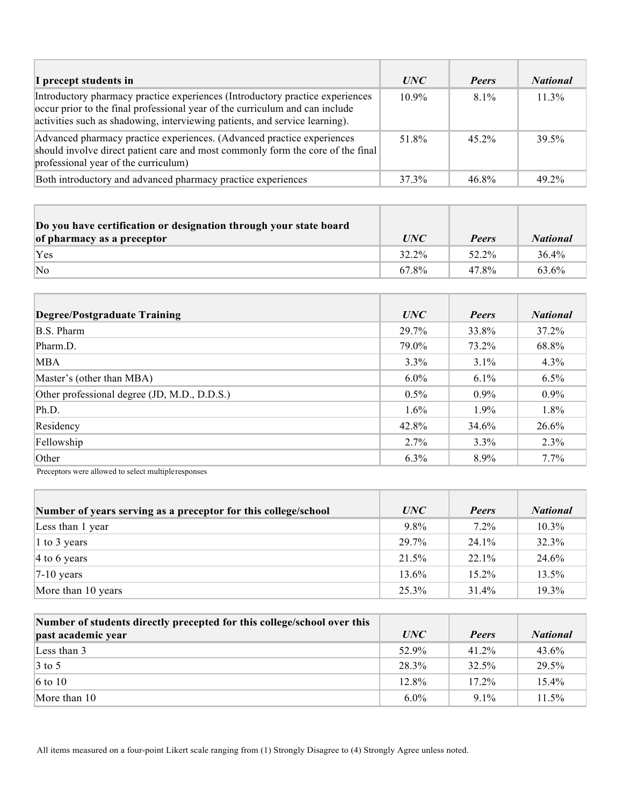| I precept students in                                                                                                                                                                                                                         | <i>UNC</i> | <b>Peers</b> | <b>National</b> |
|-----------------------------------------------------------------------------------------------------------------------------------------------------------------------------------------------------------------------------------------------|------------|--------------|-----------------|
| Introductory pharmacy practice experiences (Introductory practice experiences)<br>occur prior to the final professional year of the curriculum and can include<br>activities such as shadowing, interviewing patients, and service learning). | $10.9\%$   | $8.1\%$      | $11.3\%$        |
| Advanced pharmacy practice experiences. (Advanced practice experiences<br>should involve direct patient care and most commonly form the core of the final<br>professional year of the curriculum)                                             | 51.8%      | $45.2\%$     | 39.5%           |
| Both introductory and advanced pharmacy practice experiences                                                                                                                                                                                  | 37.3%      | 46.8%        | 49 2%           |

| Do you have certification or designation through your state board<br>of pharmacy as a preceptor | <i>UNC</i> | <b>Peers</b> | <b>National</b> |
|-------------------------------------------------------------------------------------------------|------------|--------------|-----------------|
| Yes                                                                                             | 32.2%      | 52.2%        | 36.4%           |
| No                                                                                              | 67.8%      | 47.8%        | 63.6%           |

| Degree/Postgraduate Training                 | UNC     | <b>Peers</b> | <b>National</b> |
|----------------------------------------------|---------|--------------|-----------------|
| <b>B.S. Pharm</b>                            | 29.7%   | 33.8%        | 37.2%           |
| Pharm.D.                                     | 79.0%   | 73.2%        | 68.8%           |
| <b>MBA</b>                                   | $3.3\%$ | $3.1\%$      | 4.3%            |
| Master's (other than MBA)                    | $6.0\%$ | $6.1\%$      | 6.5%            |
| Other professional degree (JD, M.D., D.D.S.) | $0.5\%$ | $0.9\%$      | $0.9\%$         |
| Ph.D.                                        | $1.6\%$ | $1.9\%$      | 1.8%            |
| Residency                                    | 42.8%   | 34.6%        | 26.6%           |
| Fellowship                                   | 2.7%    | $3.3\%$      | 2.3%            |
| Other                                        | $6.3\%$ | 8.9%         | 7.7%            |

Preceptors were allowed to select multipleresponses

| Number of years serving as a preceptor for this college/school | UNC     | <b>Peers</b> | <b>National</b> |
|----------------------------------------------------------------|---------|--------------|-----------------|
| Less than 1 year                                               | $9.8\%$ | $7.2\%$      | $10.3\%$        |
| 1 to 3 years                                                   | 29.7%   | $24.1\%$     | 32.3%           |
| $ 4 \text{ to } 6 \text{ years} $                              | 21.5%   | $22.1\%$     | 24.6%           |
| $ 7-10$ years                                                  | 13.6%   | $15.2\%$     | 13.5%           |
| More than 10 years                                             | 25.3%   | 31.4%        | 19.3%           |

| Number of students directly precepted for this college/school over this |         |              |                 |
|-------------------------------------------------------------------------|---------|--------------|-----------------|
| past academic year                                                      | UNC     | <b>Peers</b> | <b>National</b> |
| Less than 3                                                             | 52.9%   | $41.2\%$     | 43.6%           |
| $\vert 3 \text{ to } 5 \vert$                                           | 28.3%   | 32.5%        | 29.5%           |
| $6$ to 10                                                               | 12.8%   | $17.2\%$     | 15.4%           |
| More than $10$                                                          | $6.0\%$ | $91\%$       | 11.5%           |

All items measured on a four-point Likert scale ranging from (1) Strongly Disagree to (4) Strongly Agree unless noted.